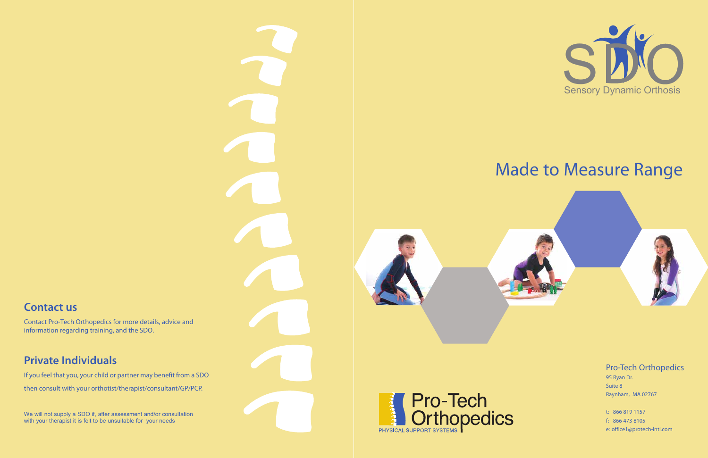## Made to Measure Range

## Pro-Tech Orthopedics

95 Ryan Dr. Suite 8 Raynham, MA 02767

t: 866 819 1157 f: 866 473 8105 e: office1@protech-intl.com



**Contact us**

We will not supply a SDO if, after assessment and/or consultation with your therapist it is felt to be unsuitable for your needs





Contact Pro-Tech Orthopedics for more details, advice and information regarding training, and the SDO.

## **Private Individuals**

If you feel that you, your child or partner may benefit from a SDO then consult with your orthotist/therapist/consultant/GP/PCP.